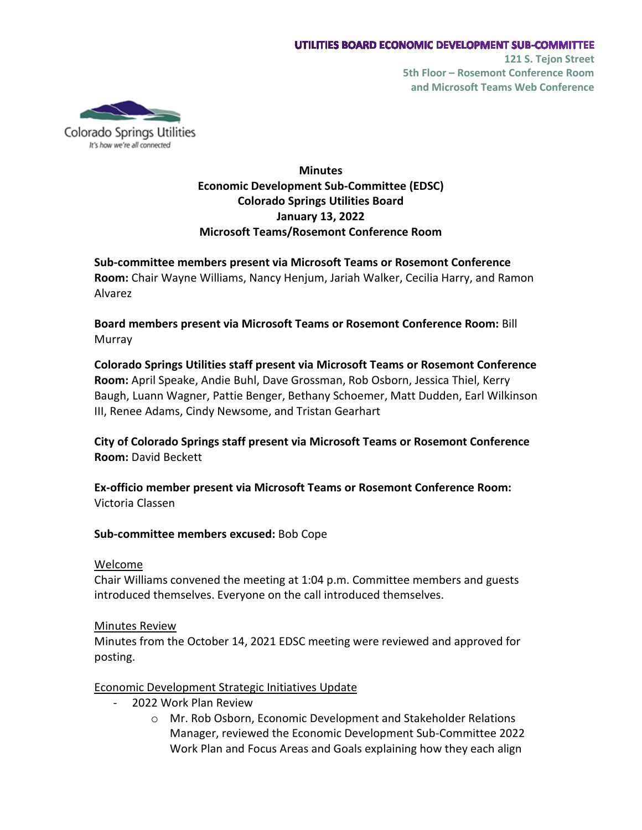

Colorado Springs Utilities It's how we're all connected

# **Minutes Economic Development Sub-Committee (EDSC) Colorado Springs Utilities Board January 13, 2022 Microsoft Teams/Rosemont Conference Room**

**Sub-committee members present via Microsoft Teams or Rosemont Conference Room:** Chair Wayne Williams, Nancy Henjum, Jariah Walker, Cecilia Harry, and Ramon Alvarez

**Board members present via Microsoft Teams or Rosemont Conference Room:** Bill Murray

**Colorado Springs Utilities staff present via Microsoft Teams or Rosemont Conference Room:** April Speake, Andie Buhl, Dave Grossman, Rob Osborn, Jessica Thiel, Kerry Baugh, Luann Wagner, Pattie Benger, Bethany Schoemer, Matt Dudden, Earl Wilkinson III, Renee Adams, Cindy Newsome, and Tristan Gearhart

**City of Colorado Springs staff present via Microsoft Teams or Rosemont Conference Room:** David Beckett

**Ex-officio member present via Microsoft Teams or Rosemont Conference Room:** Victoria Classen

**Sub-committee members excused:** Bob Cope

# Welcome

Chair Williams convened the meeting at 1:04 p.m. Committee members and guests introduced themselves. Everyone on the call introduced themselves.

# Minutes Review

Minutes from the October 14, 2021 EDSC meeting were reviewed and approved for posting.

Economic Development Strategic Initiatives Update

- 2022 Work Plan Review
	- o Mr. Rob Osborn, Economic Development and Stakeholder Relations Manager, reviewed the Economic Development Sub-Committee 2022 Work Plan and Focus Areas and Goals explaining how they each align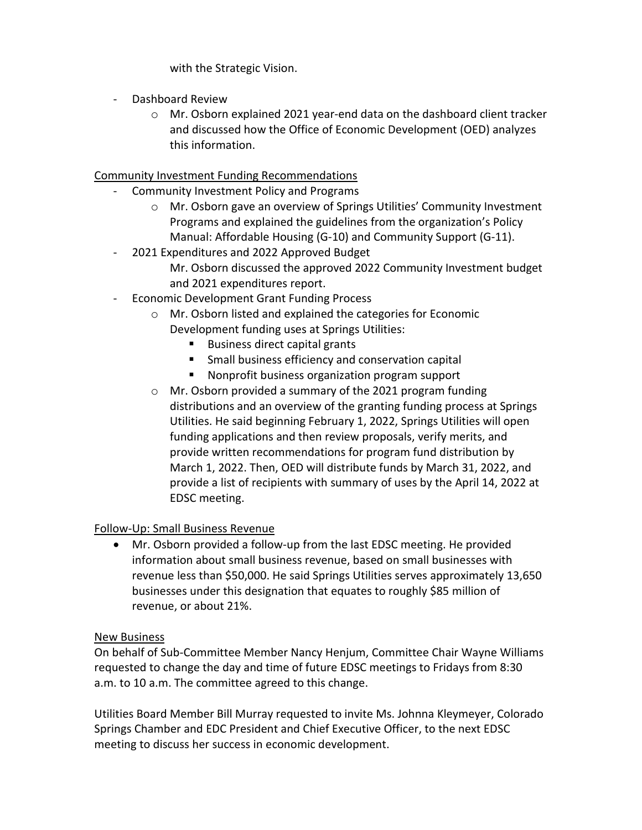with the Strategic Vision.

- Dashboard Review
	- o Mr. Osborn explained 2021 year-end data on the dashboard client tracker and discussed how the Office of Economic Development (OED) analyzes this information.

# Community Investment Funding Recommendations

- Community Investment Policy and Programs
	- o Mr. Osborn gave an overview of Springs Utilities' Community Investment Programs and explained the guidelines from the organization's Policy Manual: Affordable Housing (G-10) and Community Support (G-11).
- 2021 Expenditures and 2022 Approved Budget Mr. Osborn discussed the approved 2022 Community Investment budget and 2021 expenditures report.
- Economic Development Grant Funding Process
	- o Mr. Osborn listed and explained the categories for Economic Development funding uses at Springs Utilities:
		- **Business direct capital grants**
		- Small business efficiency and conservation capital
		- **Nonprofit business organization program support**
	- o Mr. Osborn provided a summary of the 2021 program funding distributions and an overview of the granting funding process at Springs Utilities. He said beginning February 1, 2022, Springs Utilities will open funding applications and then review proposals, verify merits, and provide written recommendations for program fund distribution by March 1, 2022. Then, OED will distribute funds by March 31, 2022, and provide a list of recipients with summary of uses by the April 14, 2022 at EDSC meeting.

# Follow-Up: Small Business Revenue

• Mr. Osborn provided a follow-up from the last EDSC meeting. He provided information about small business revenue, based on small businesses with revenue less than \$50,000. He said Springs Utilities serves approximately 13,650 businesses under this designation that equates to roughly \$85 million of revenue, or about 21%.

# New Business

On behalf of Sub-Committee Member Nancy Henjum, Committee Chair Wayne Williams requested to change the day and time of future EDSC meetings to Fridays from 8:30 a.m. to 10 a.m. The committee agreed to this change.

Utilities Board Member Bill Murray requested to invite Ms. Johnna Kleymeyer, Colorado Springs Chamber and EDC President and Chief Executive Officer, to the next EDSC meeting to discuss her success in economic development.